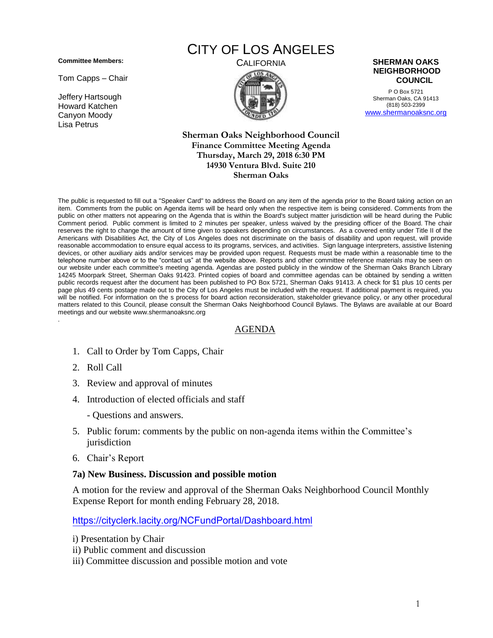**Committee Members:**

Tom Capps – Chair

Jeffery Hartsough Howard Katchen Canyon Moody Lisa Petrus

# CITY OF LOS ANGELES



P O Box 5721 Sherman Oaks, CA 91413 (818) 503-2399 [www.shermanoaksnc.org](http://www.shermanoaksnc.org/)

#### **Sherman Oaks Neighborhood Council Finance Committee Meeting Agenda Thursday, March 29, 2018 6:30 PM 14930 Ventura Blvd. Suite 210 Sherman Oaks**

The public is requested to fill out a "Speaker Card" to address the Board on any item of the agenda prior to the Board taking action on an item. Comments from the public on Agenda items will be heard only when the respective item is being considered. Comments from the public on other matters not appearing on the Agenda that is within the Board's subject matter jurisdiction will be heard during the Public Comment period. Public comment is limited to 2 minutes per speaker, unless waived by the presiding officer of the Board. The chair reserves the right to change the amount of time given to speakers depending on circumstances. As a covered entity under Title II of the Americans with Disabilities Act, the City of Los Angeles does not discriminate on the basis of disability and upon request, will provide reasonable accommodation to ensure equal access to its programs, services, and activities. Sign language interpreters, assistive listening devices, or other auxiliary aids and/or services may be provided upon request. Requests must be made within a reasonable time to the telephone number above or to the "contact us" at the website above. Reports and other committee reference materials may be seen on our website under each committee's meeting agenda. Agendas are posted publicly in the window of the Sherman Oaks Branch Library 14245 Moorpark Street, Sherman Oaks 91423. Printed copies of board and committee agendas can be obtained by sending a written public records request after the document has been published to PO Box 5721, Sherman Oaks 91413. A check for \$1 plus 10 cents per page plus 49 cents postage made out to the City of Los Angeles must be included with the request. If additional payment is required, you will be notified. For information on the s process for board action reconsideration, stakeholder grievance policy, or any other procedural matters related to this Council, please consult the Sherman Oaks Neighborhood Council Bylaws. The Bylaws are available at our Board meetings and our website www.shermanoaksnc.org .

## AGENDA

- 1. Call to Order by Tom Capps, Chair
- 2. Roll Call
- 3. Review and approval of minutes
- 4. Introduction of elected officials and staff
	- Questions and answers.
- 5. Public forum: comments by the public on non-agenda items within the Committee's jurisdiction
- 6. Chair's Report

#### **7a) New Business. Discussion and possible motion**

A motion for the review and approval of the Sherman Oaks Neighborhood Council Monthly Expense Report for month ending February 28, 2018.

<https://cityclerk.lacity.org/NCFundPortal/Dashboard.html>

- i) Presentation by Chair
- ii) Public comment and discussion
- iii) Committee discussion and possible motion and vote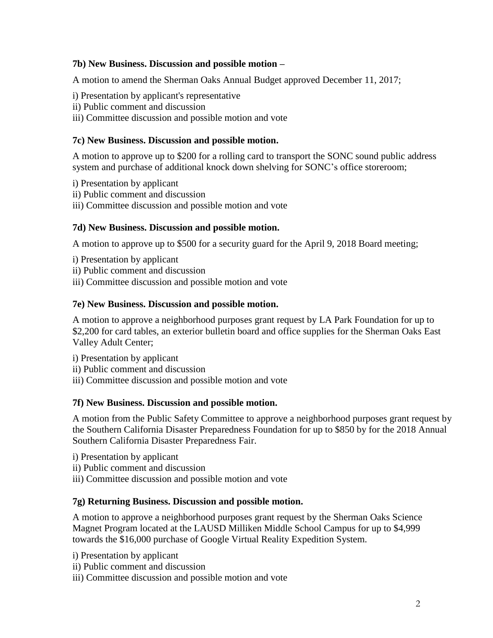# **7b) New Business. Discussion and possible motion –**

A motion to amend the Sherman Oaks Annual Budget approved December 11, 2017;

- i) Presentation by applicant's representative
- ii) Public comment and discussion
- iii) Committee discussion and possible motion and vote

# **7c) New Business. Discussion and possible motion.**

A motion to approve up to \$200 for a rolling card to transport the SONC sound public address system and purchase of additional knock down shelving for SONC's office storeroom;

- i) Presentation by applicant
- ii) Public comment and discussion
- iii) Committee discussion and possible motion and vote

# **7d) New Business. Discussion and possible motion.**

A motion to approve up to \$500 for a security guard for the April 9, 2018 Board meeting;

- i) Presentation by applicant
- ii) Public comment and discussion
- iii) Committee discussion and possible motion and vote

## **7e) New Business. Discussion and possible motion.**

A motion to approve a neighborhood purposes grant request by LA Park Foundation for up to \$2,200 for card tables, an exterior bulletin board and office supplies for the Sherman Oaks East Valley Adult Center;

- i) Presentation by applicant
- ii) Public comment and discussion
- iii) Committee discussion and possible motion and vote

# **7f) New Business. Discussion and possible motion.**

A motion from the Public Safety Committee to approve a neighborhood purposes grant request by the Southern California Disaster Preparedness Foundation for up to \$850 by for the 2018 Annual Southern California Disaster Preparedness Fair.

- i) Presentation by applicant
- ii) Public comment and discussion
- iii) Committee discussion and possible motion and vote

# **7g) Returning Business. Discussion and possible motion.**

A motion to approve a neighborhood purposes grant request by the Sherman Oaks Science Magnet Program located at the LAUSD Milliken Middle School Campus for up to \$4,999 towards the \$16,000 purchase of Google Virtual Reality Expedition System.

- i) Presentation by applicant
- ii) Public comment and discussion
- iii) Committee discussion and possible motion and vote